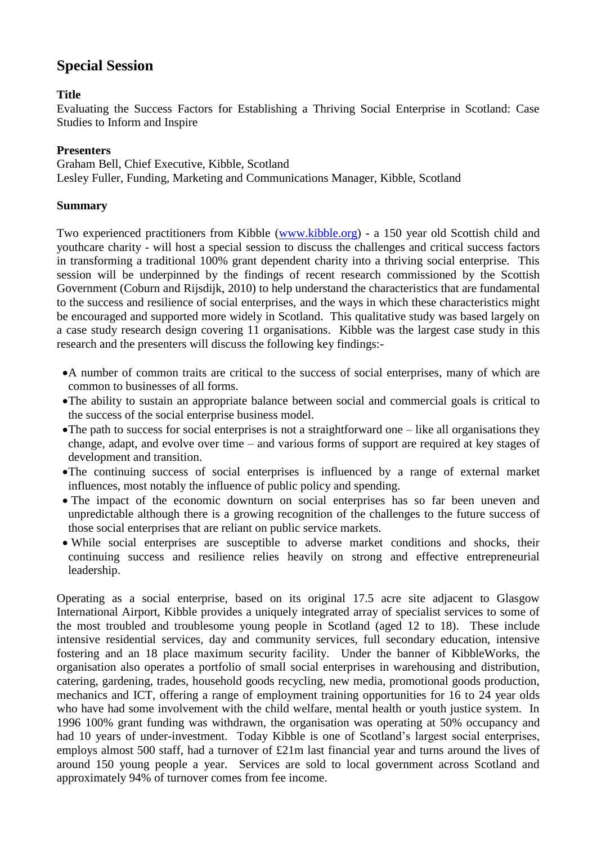# **Special Session**

## **Title**

Evaluating the Success Factors for Establishing a Thriving Social Enterprise in Scotland: Case Studies to Inform and Inspire

## **Presenters**

Graham Bell, Chief Executive, Kibble, Scotland Lesley Fuller, Funding, Marketing and Communications Manager, Kibble, Scotland

## **Summary**

Two experienced practitioners from Kibble [\(www.kibble.org\)](http://www.kibble.org/) - a 150 year old Scottish child and youthcare charity - will host a special session to discuss the challenges and critical success factors in transforming a traditional 100% grant dependent charity into a thriving social enterprise. This session will be underpinned by the findings of recent research commissioned by the Scottish Government (Coburn and Rijsdijk, 2010) to help understand the characteristics that are fundamental to the success and resilience of social enterprises, and the ways in which these characteristics might be encouraged and supported more widely in Scotland. This qualitative study was based largely on a case study research design covering 11 organisations. Kibble was the largest case study in this research and the presenters will discuss the following key findings:-

- A number of common traits are critical to the success of social enterprises, many of which are common to businesses of all forms.
- The ability to sustain an appropriate balance between social and commercial goals is critical to the success of the social enterprise business model.
- The path to success for social enterprises is not a straightforward one like all organisations they change, adapt, and evolve over time – and various forms of support are required at key stages of development and transition.
- The continuing success of social enterprises is influenced by a range of external market influences, most notably the influence of public policy and spending.
- The impact of the economic downturn on social enterprises has so far been uneven and unpredictable although there is a growing recognition of the challenges to the future success of those social enterprises that are reliant on public service markets.
- While social enterprises are susceptible to adverse market conditions and shocks, their continuing success and resilience relies heavily on strong and effective entrepreneurial leadership.

Operating as a social enterprise, based on its original 17.5 acre site adjacent to Glasgow International Airport, Kibble provides a uniquely integrated array of specialist services to some of the most troubled and troublesome young people in Scotland (aged 12 to 18). These include intensive residential services, day and community services, full secondary education, intensive fostering and an 18 place maximum security facility. Under the banner of KibbleWorks, the organisation also operates a portfolio of small social enterprises in warehousing and distribution, catering, gardening, trades, household goods recycling, new media, promotional goods production, mechanics and ICT, offering a range of employment training opportunities for 16 to 24 year olds who have had some involvement with the child welfare, mental health or vouth justice system. In 1996 100% grant funding was withdrawn, the organisation was operating at 50% occupancy and had 10 years of under-investment. Today Kibble is one of Scotland's largest social enterprises, employs almost 500 staff, had a turnover of £21m last financial year and turns around the lives of around 150 young people a year. Services are sold to local government across Scotland and approximately 94% of turnover comes from fee income.